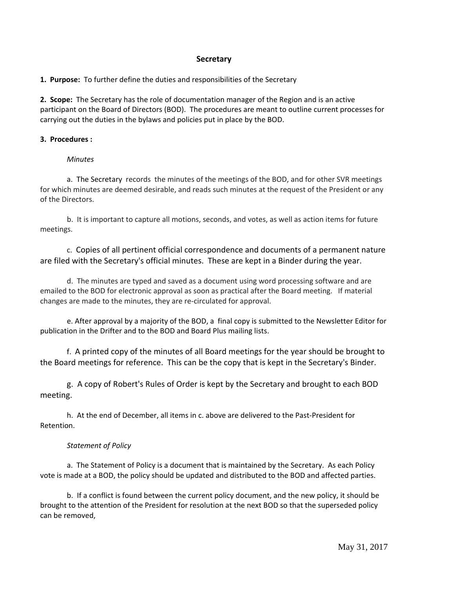# **Secretary**

**1. Purpose:** To further define the duties and responsibilities of the Secretary

**2. Scope:** The Secretary has the role of documentation manager of the Region and is an active participant on the Board of Directors (BOD). The procedures are meant to outline current processes for carrying out the duties in the bylaws and policies put in place by the BOD.

## **3. Procedures :**

### *Minutes*

a. The Secretary records the minutes of the meetings of the BOD, and for other SVR meetings for which minutes are deemed desirable, and reads such minutes at the request of the President or any of the Directors.

b. It is important to capture all motions, seconds, and votes, as well as action items for future meetings.

c. Copies of all pertinent official correspondence and documents of a permanent nature are filed with the Secretary's official minutes. These are kept in a Binder during the year.

d. The minutes are typed and saved as a document using word processing software and are emailed to the BOD for electronic approval as soon as practical after the Board meeting. If material changes are made to the minutes, they are re‐circulated for approval.

e. After approval by a majority of the BOD, a final copy is submitted to the Newsletter Editor for publication in the Drifter and to the BOD and Board Plus mailing lists.

f. A printed copy of the minutes of all Board meetings for the year should be brought to the Board meetings for reference. This can be the copy that is kept in the Secretary's Binder.

g. A copy of Robert's Rules of Order is kept by the Secretary and brought to each BOD meeting.

h. At the end of December, all items in c. above are delivered to the Past‐President for Retention.

### *Statement of Policy*

a. The Statement of Policy is a document that is maintained by the Secretary. As each Policy vote is made at a BOD, the policy should be updated and distributed to the BOD and affected parties.

b. If a conflict is found between the current policy document, and the new policy, it should be brought to the attention of the President for resolution at the next BOD so that the superseded policy can be removed,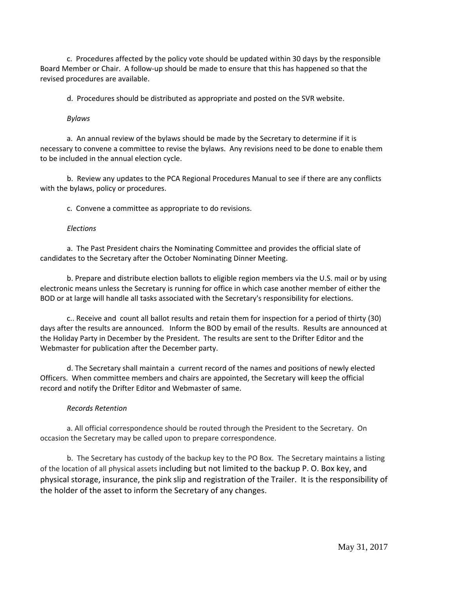c. Procedures affected by the policy vote should be updated within 30 days by the responsible Board Member or Chair. A follow‐up should be made to ensure that this has happened so that the revised procedures are available.

d. Procedures should be distributed as appropriate and posted on the SVR website.

### *Bylaws*

a. An annual review of the bylaws should be made by the Secretary to determine if it is necessary to convene a committee to revise the bylaws. Any revisions need to be done to enable them to be included in the annual election cycle.

b. Review any updates to the PCA Regional Procedures Manual to see if there are any conflicts with the bylaws, policy or procedures.

c. Convene a committee as appropriate to do revisions.

### *Elections*

a. The Past President chairs the Nominating Committee and provides the official slate of candidates to the Secretary after the October Nominating Dinner Meeting.

b. Prepare and distribute election ballots to eligible region members via the U.S. mail or by using electronic means unless the Secretary is running for office in which case another member of either the BOD or at large will handle all tasks associated with the Secretary's responsibility for elections.

c.. Receive and count all ballot results and retain them for inspection for a period of thirty (30) days after the results are announced. Inform the BOD by email of the results. Results are announced at the Holiday Party in December by the President. The results are sent to the Drifter Editor and the Webmaster for publication after the December party.

d. The Secretary shall maintain a current record of the names and positions of newly elected Officers. When committee members and chairs are appointed, the Secretary will keep the official record and notify the Drifter Editor and Webmaster of same.

### *Records Retention*

a. All official correspondence should be routed through the President to the Secretary. On occasion the Secretary may be called upon to prepare correspondence.

b. The Secretary has custody of the backup key to the PO Box. The Secretary maintains a listing of the location of all physical assets including but not limited to the backup P. O. Box key, and physical storage, insurance, the pink slip and registration of the Trailer. It is the responsibility of the holder of the asset to inform the Secretary of any changes.